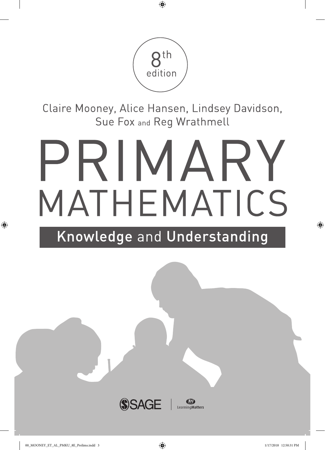

 $\bigoplus$ 

Claire Mooney, Alice Hansen, Lindsey Davidson, Sue Fox and Reg Wrathmell

# PRIMARY MATHEMATICS

# Knowledge and Understanding



00\_MOONEY\_ET\_AL\_PMKU\_8E\_Prelims.indd 3 1/17/2018 12:50:31 PM

⊕

⊕

 $\mathbf{m}$ 

LearningMatters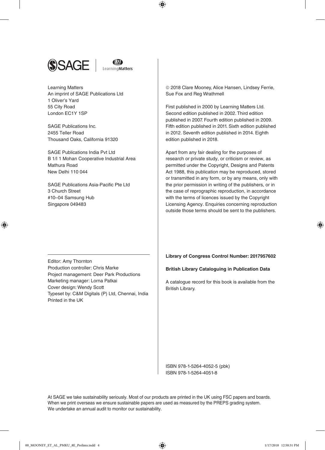



 $\bm \Theta$ 

Learning Matters An imprint of SAGE Publications Ltd 1 Oliver's Yard 55 City Road London EC1Y 1SP

SAGE Publications Inc. 2455 Teller Road Thousand Oaks, California 91320

SAGE Publications India Pvt Ltd B 1/I 1 Mohan Cooperative Industrial Area Mathura Road New Delhi 110 044

SAGE Publications Asia-Pacific Pte Ltd 3 Church Street #10–04 Samsung Hub Singapore 049483

⊕

 2018 Clare Mooney, Alice Hansen, Lindsey Ferrie, Sue Fox and Reg Wrathmell

First published in 2000 by Learning Matters Ltd. Second edition published in 2002. Third edition published in 2007. Fourth edition published in 2009. Fifth edition published in 2011. Sixth edition published in 2012. Seventh edition published in 2014. Eighth edition published in 2018.

Apart from any fair dealing for the purposes of research or private study, or criticism or review, as permitted under the Copyright, Designs and Patents Act 1988, this publication may be reproduced, stored or transmitted in any form, or by any means, only with the prior permission in writing of the publishers, or in the case of reprographic reproduction, in accordance with the terms of licences issued by the Copyright Licensing Agency. Enquiries concerning reproduction outside those terms should be sent to the publishers.

Editor: Amy Thornton Production controller: Chris Marke Project management: Deer Park Productions Marketing manager: Lorna Patkai Cover design: Wendy Scott Typeset by: C&M Digitals (P) Ltd, Chennai, India Printed in the UK

#### **Library of Congress Control Number: 2017957602**

#### **British Library Cataloguing in Publication Data**

A catalogue record for this book is available from the British Library.

ISBN 978-1-5264-4052-5 (pbk) ISBN 978-1-5264-4051-8

At SAGE we take sustainability seriously. Most of our products are printed in the UK using FSC papers and boards. When we print overseas we ensure sustainable papers are used as measured by the PREPS grading system. We undertake an annual audit to monitor our sustainability.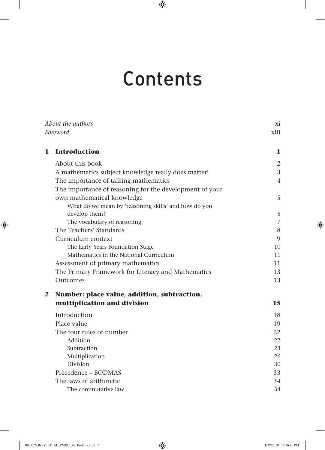$\bigoplus$ 

| About the authors |                                                         | XÌ.            |
|-------------------|---------------------------------------------------------|----------------|
| Foreword          |                                                         | xiii           |
| 1                 | <b>Introduction</b>                                     | 1              |
|                   | About this book                                         | 2              |
|                   | A mathematics subject knowledge really does matter!     | 3              |
|                   | The importance of talking mathematics                   | $\overline{4}$ |
|                   | The importance of reasoning for the development of your |                |
|                   | own mathematical knowledge                              | 5              |
|                   | What do we mean by 'reasoning skills' and how do you    |                |
|                   | develop them?                                           | 5              |
|                   | The vocabulary of reasoning                             | $\overline{7}$ |
|                   | The Teachers' Standards                                 | 8              |
|                   | Curriculum context                                      | 9              |
|                   | The Early Years Foundation Stage                        | 10             |
|                   | Mathematics in the National Curriculum                  | 11             |
|                   | Assessment of primary mathematics                       | 11             |
|                   | The Primary Framework for Literacy and Mathematics      | 13             |
|                   | Outcomes                                                | 13             |
| 2                 | Number: place value, addition, subtraction,             |                |
|                   | multiplication and division                             | 15             |
|                   | Introduction                                            | 18             |
|                   | Place value                                             | 19             |
|                   | The four rules of number                                | 22             |
|                   | Addition                                                | 22             |
|                   | Subtraction                                             | 23             |
|                   | Multiplication                                          | 26             |
|                   | Division                                                | 30             |
|                   | Precedence - BODMAS                                     | 33             |
|                   | The laws of arithmetic                                  | 34             |
|                   | The commutative law                                     | 34             |

 $\bigoplus$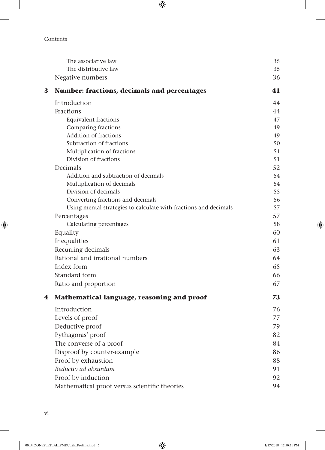$\bigoplus$ 

#### Contents

 $\overline{\phantom{a}}$ 

 $\bigoplus$ 

|   | The associative law                                              | 35 |
|---|------------------------------------------------------------------|----|
|   | The distributive law                                             | 35 |
|   | Negative numbers                                                 | 36 |
| 3 | <b>Number: fractions, decimals and percentages</b>               | 41 |
|   | Introduction                                                     | 44 |
|   | Fractions                                                        | 44 |
|   | <b>Equivalent fractions</b>                                      | 47 |
|   | Comparing fractions                                              | 49 |
|   | Addition of fractions                                            | 49 |
|   | Subtraction of fractions                                         | 50 |
|   | Multiplication of fractions                                      | 51 |
|   | Division of fractions                                            | 51 |
|   | Decimals                                                         | 52 |
|   | Addition and subtraction of decimals                             | 54 |
|   | Multiplication of decimals                                       | 54 |
|   | Division of decimals                                             | 55 |
|   | Converting fractions and decimals                                | 56 |
|   | Using mental strategies to calculate with fractions and decimals | 57 |
|   | Percentages                                                      | 57 |
|   | Calculating percentages                                          | 58 |
|   | Equality                                                         | 60 |
|   | Inequalities                                                     | 61 |
|   | Recurring decimals                                               | 63 |
|   | Rational and irrational numbers                                  | 64 |
|   | Index form                                                       | 65 |
|   | Standard form                                                    | 66 |
|   | Ratio and proportion                                             | 67 |
| 4 | Mathematical language, reasoning and proof                       | 73 |
|   | Introduction                                                     | 76 |
|   | Levels of proof                                                  | 77 |
|   | Deductive proof                                                  | 79 |
|   | Pythagoras' proof                                                | 82 |
|   | The converse of a proof                                          | 84 |
|   | Disproof by counter-example                                      | 86 |
|   | Proof by exhaustion                                              | 88 |
|   | Reductio ad absurdum                                             | 91 |
|   | Proof by induction                                               | 92 |
|   | Mathematical proof versus scientific theories                    | 94 |
|   |                                                                  |    |

vi

 $\mathbb{I}$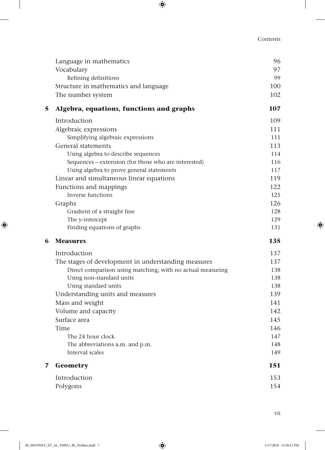$\overline{\phantom{a}}$ 

 $\bigoplus$ 

|   | Language in mathematics                                    | 96  |
|---|------------------------------------------------------------|-----|
|   | Vocabulary                                                 | 97  |
|   | Refining definitions                                       | 99  |
|   | Structure in mathematics and language                      | 100 |
|   | The number system                                          | 102 |
| 5 | Algebra, equations, functions and graphs                   | 107 |
|   | Introduction                                               | 109 |
|   | Algebraic expressions                                      | 111 |
|   | Simplifying algebraic expressions                          | 111 |
|   | General statements                                         | 113 |
|   | Using algebra to describe sequences                        | 114 |
|   | Sequences - extension (for those who are interested)       | 116 |
|   | Using algebra to prove general statements                  | 117 |
|   | Linear and simultaneous linear equations                   | 119 |
|   | Functions and mappings                                     | 122 |
|   | Inverse functions                                          | 125 |
|   | Graphs                                                     | 126 |
|   | Gradient of a straight line                                | 128 |
|   | The y-intercept                                            | 129 |
|   | Finding equations of graphs                                | 131 |
|   |                                                            |     |
| 6 | <b>Measures</b>                                            | 135 |
|   | Introduction                                               | 137 |
|   | The stages of development in understanding measures        | 137 |
|   | Direct comparison using matching, with no actual measuring | 138 |
|   | Using non-standard units                                   | 138 |
|   | Using standard units                                       | 138 |
|   | Understanding units and measures                           | 139 |
|   | Mass and weight                                            | 141 |
|   | Volume and capacity                                        | 142 |
|   | Surface area                                               | 145 |
|   | Time                                                       | 146 |
|   | The 24 hour clock                                          | 147 |
|   | The abbreviations a.m. and p.m.                            | 148 |
|   | Interval scales                                            | 149 |
| 7 | <b>Geometry</b>                                            | 151 |
|   | Introduction                                               | 153 |

 $\bigoplus$ 

 $\overline{\phantom{a}}$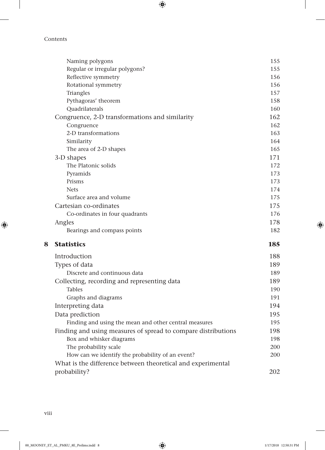$\overline{\phantom{a}}$ 

 $\bigoplus$ 

|   | Naming polygons                                | 155 |
|---|------------------------------------------------|-----|
|   | Regular or irregular polygons?                 | 155 |
|   | Reflective symmetry                            | 156 |
|   | Rotational symmetry                            | 156 |
|   | Triangles                                      | 157 |
|   | Pythagoras' theorem                            | 158 |
|   | Quadrilaterals                                 | 160 |
|   | Congruence, 2-D transformations and similarity | 162 |
|   | Congruence                                     | 162 |
|   | 2-D transformations                            | 163 |
|   | Similarity                                     | 164 |
|   | The area of 2-D shapes                         | 165 |
|   | 3-D shapes                                     | 171 |
|   | The Platonic solids                            | 172 |
|   | Pyramids                                       | 173 |
|   | Prisms                                         | 173 |
|   | <b>Nets</b>                                    | 174 |
|   | Surface area and volume                        | 175 |
|   | Cartesian co-ordinates                         | 175 |
|   | Co-ordinates in four quadrants                 | 176 |
|   | Angles                                         | 178 |
|   | Bearings and compass points                    | 182 |
| 8 | <b>Statistics</b>                              | 185 |
|   | Introduction                                   | 188 |
|   | Types of data                                  | 189 |
|   | Discrete and continuous data                   | 189 |
|   | Collecting, recording and representing data    | 189 |
|   | <b>Tables</b>                                  | 190 |
|   | Graphs and diagrams                            | 191 |
|   | Interpreting data                              | 194 |
|   | Data prediction                                | 195 |

 $\bigoplus$ 

| $1d]$ $1d$                                                    | エンワ |
|---------------------------------------------------------------|-----|
| Graphs and diagrams                                           | 191 |
| Interpreting data                                             | 194 |
| Data prediction                                               | 195 |
| Finding and using the mean and other central measures         | 195 |
| Finding and using measures of spread to compare distributions | 198 |
| Box and whisker diagrams                                      | 198 |
| The probability scale                                         | 200 |
| How can we identify the probability of an event?              | 200 |
| What is the difference between theoretical and experimental   |     |
| probability?                                                  | 202 |

 $\mathbb{I}$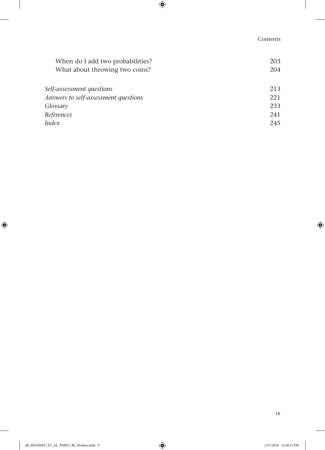$\mathbb{I}$ 

 $\bigoplus$ 

| When do I add two probabilities?     | 203 |
|--------------------------------------|-----|
| What about throwing two coins?       | 204 |
|                                      |     |
| Self-assessment questions            | 213 |
| Answers to self-assessment questions | 221 |
| Glossary                             | 233 |
| References                           | 241 |
| Index                                | 245 |

 $\bigoplus$ 

 $\overline{\phantom{a}}$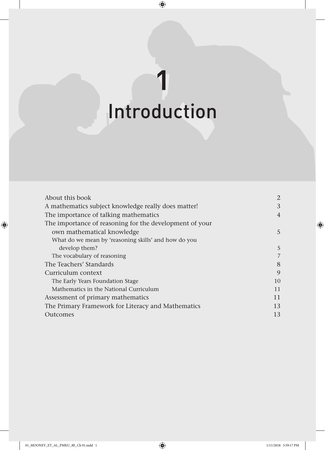1

 $\bigoplus$ 

| About this book                                         | 2              |
|---------------------------------------------------------|----------------|
| A mathematics subject knowledge really does matter!     | 3              |
| The importance of talking mathematics                   | $\overline{4}$ |
| The importance of reasoning for the development of your |                |
| own mathematical knowledge                              | 5              |
| What do we mean by 'reasoning skills' and how do you    |                |
| develop them?                                           | 5              |
| The vocabulary of reasoning                             | 7              |
| The Teachers' Standards                                 | 8              |
| Curriculum context                                      | 9              |
| The Early Years Foundation Stage                        | 10             |
| Mathematics in the National Curriculum                  | 11             |
| Assessment of primary mathematics                       | 11             |
| The Primary Framework for Literacy and Mathematics      | 13             |
| Outcomes                                                | 13             |
|                                                         |                |

 $\bigoplus$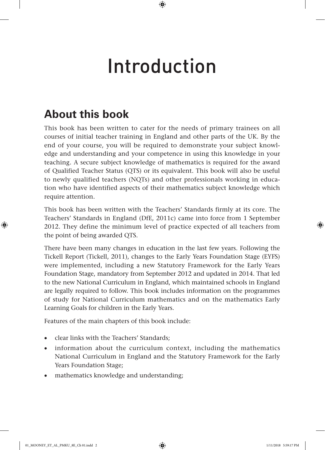$\bigoplus$ 

# **About this book**

This book has been written to cater for the needs of primary trainees on all courses of initial teacher training in England and other parts of the UK. By the end of your course, you will be required to demonstrate your subject knowledge and understanding and your competence in using this knowledge in your teaching. A secure subject knowledge of mathematics is required for the award of Qualified Teacher Status (QTS) or its equivalent. This book will also be useful to newly qualified teachers (NQTs) and other professionals working in education who have identified aspects of their mathematics subject knowledge which require attention.

This book has been written with the Teachers' Standards firmly at its core. The Teachers' Standards in England (DfE, 2011c) came into force from 1 September 2012. They define the minimum level of practice expected of all teachers from the point of being awarded QTS.

There have been many changes in education in the last few years. Following the Tickell Report (Tickell, 2011), changes to the Early Years Foundation Stage (EYFS) were implemented, including a new Statutory Framework for the Early Years Foundation Stage, mandatory from September 2012 and updated in 2014. That led to the new National Curriculum in England, which maintained schools in England are legally required to follow. This book includes information on the programmes of study for National Curriculum mathematics and on the mathematics Early Learning Goals for children in the Early Years.

Features of the main chapters of this book include:

- clear links with the Teachers' Standards;
- information about the curriculum context, including the mathematics National Curriculum in England and the Statutory Framework for the Early Years Foundation Stage;
- mathematics knowledge and understanding;

⊕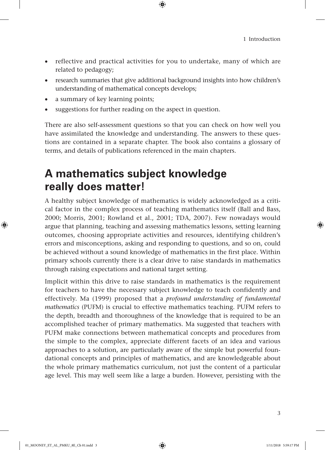• reflective and practical activities for you to undertake, many of which are related to pedagogy;

 $\bigoplus$ 

- research summaries that give additional background insights into how children's understanding of mathematical concepts develops;
- a summary of key learning points;
- suggestions for further reading on the aspect in question.

There are also self-assessment questions so that you can check on how well you have assimilated the knowledge and understanding. The answers to these questions are contained in a separate chapter. The book also contains a glossary of terms, and details of publications referenced in the main chapters.

# **A mathematics subject knowledge really does matter!**

A healthy subject knowledge of mathematics is widely acknowledged as a critical factor in the complex process of teaching mathematics itself (Ball and Bass, 2000; Morris, 2001; Rowland et al., 2001; TDA, 2007). Few nowadays would argue that planning, teaching and assessing mathematics lessons, setting learning outcomes, choosing appropriate activities and resources, identifying children's errors and misconceptions, asking and responding to questions, and so on, could be achieved without a sound knowledge of mathematics in the first place. Within primary schools currently there is a clear drive to raise standards in mathematics through raising expectations and national target setting.

Implicit within this drive to raise standards in mathematics is the requirement for teachers to have the necessary subject knowledge to teach confidently and effectively. Ma (1999) proposed that a *profound understanding of fundamental mathematics* (PUFM) is crucial to effective mathematics teaching. PUFM refers to the depth, breadth and thoroughness of the knowledge that is required to be an accomplished teacher of primary mathematics. Ma suggested that teachers with PUFM make connections between mathematical concepts and procedures from the simple to the complex, appreciate different facets of an idea and various approaches to a solution, are particularly aware of the simple but powerful foundational concepts and principles of mathematics, and are knowledgeable about the whole primary mathematics curriculum, not just the content of a particular age level. This may well seem like a large a burden. However, persisting with the

⊕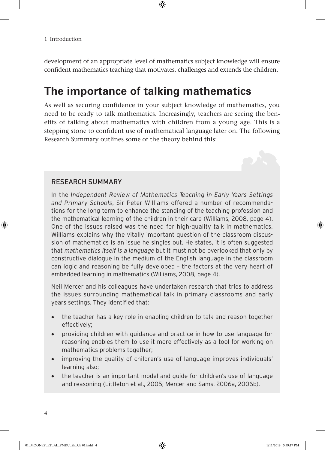development of an appropriate level of mathematics subject knowledge will ensure confident mathematics teaching that motivates, challenges and extends the children.

 $\bigoplus$ 

# **The importance of talking mathematics**

As well as securing confidence in your subject knowledge of mathematics, you need to be ready to talk mathematics. Increasingly, teachers are seeing the benefits of talking about mathematics with children from a young age. This is a stepping stone to confident use of mathematical language later on. The following Research Summary outlines some of the theory behind this:

#### RESEARCH SUMMARY

In the *Independent Review of Mathematics Teaching in Early Years Settings and Primary Schools*, Sir Peter Williams offered a number of recommendations for the long term to enhance the standing of the teaching profession and the mathematical learning of the children in their care (Williams, 2008, page 4). One of the issues raised was the need for high-quality talk in mathematics. Williams explains why the vitally important question of the classroom discussion of mathematics is an issue he singles out. He states, it is often suggested that *mathematics itself is a language* but it must not be overlooked that only by constructive dialogue in the medium of the English language in the classroom can logic and reasoning be fully developed – the factors at the very heart of embedded learning in mathematics (Williams, 2008, page 4).

Neil Mercer and his colleagues have undertaken research that tries to address the issues surrounding mathematical talk in primary classrooms and early years settings. They identified that:

- the teacher has a key role in enabling children to talk and reason together effectively;
- providing children with guidance and practice in how to use language for reasoning enables them to use it more effectively as a tool for working on mathematics problems together;
- improving the quality of children's use of language improves individuals' learning also;
- the teacher is an important model and guide for children's use of language and reasoning (Littleton et al., 2005; Mercer and Sams, 2006a, 2006b).

⊕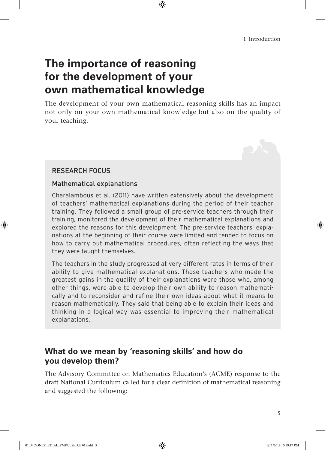# **The importance of reasoning for the development of your own mathematical knowledge**

The development of your own mathematical reasoning skills has an impact not only on your own mathematical knowledge but also on the quality of your teaching.

 $\bigcirc$ 

#### RESEARCH FOCUS

⊕

#### Mathematical explanations

Charalambous et al. (2011) have written extensively about the development of teachers' mathematical explanations during the period of their teacher training. They followed a small group of pre-service teachers through their training, monitored the development of their mathematical explanations and explored the reasons for this development. The pre-service teachers' explanations at the beginning of their course were limited and tended to focus on how to carry out mathematical procedures, often reflecting the ways that they were taught themselves.

The teachers in the study progressed at very different rates in terms of their ability to give mathematical explanations. Those teachers who made the greatest gains in the quality of their explanations were those who, among other things, were able to develop their own ability to reason mathematically and to reconsider and refine their own ideas about what it means to reason mathematically. They said that being able to explain their ideas and thinking in a logical way was essential to improving their mathematical explanations.

#### **What do we mean by 'reasoning skills' and how do you develop them?**

The Advisory Committee on Mathematics Education's (ACME) response to the draft National Curriculum called for a clear definition of mathematical reasoning and suggested the following: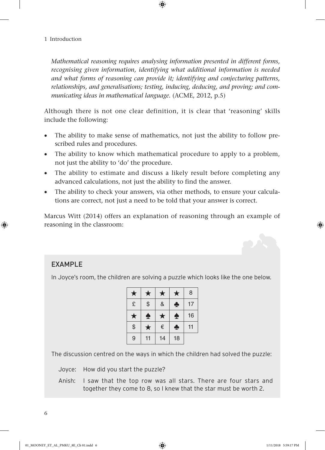*Mathematical reasoning requires analysing information presented in different forms, recognising given information, identifying what additional information is needed and what forms of reasoning can provide it; identifying and conjecturing patterns, relationships, and generalisations; testing, inducing, deducing, and proving; and communicating ideas in mathematical language.* (ACME, 2012, p.5)

 $\bigcirc$ 

Although there is not one clear definition, it is clear that 'reasoning' skills include the following:

- The ability to make sense of mathematics, not just the ability to follow prescribed rules and procedures.
- The ability to know which mathematical procedure to apply to a problem, not just the ability to 'do' the procedure.
- The ability to estimate and discuss a likely result before completing any advanced calculations, not just the ability to find the answer.
- The ability to check your answers, via other methods, to ensure your calculations are correct, not just a need to be told that your answer is correct.

Marcus Witt (2014) offers an explanation of reasoning through an example of reasoning in the classroom:

#### EXAMPLE

⊕

In Joyce's room, the children are solving a puzzle which looks like the one below.

| ★  | ★  | ★  | ★         | 8  |
|----|----|----|-----------|----|
| £  | \$ | &  | ≵         | 17 |
| ★  | ÷  | ★  | $\bullet$ | 16 |
| \$ |    | €  | ♣         | 11 |
| 9  | 11 | 14 | 18        |    |

The discussion centred on the ways in which the children had solved the puzzle:

Joyce: How did you start the puzzle?

Anish: I saw that the top row was all stars. There are four stars and together they come to 8, so I knew that the star must be worth 2.

6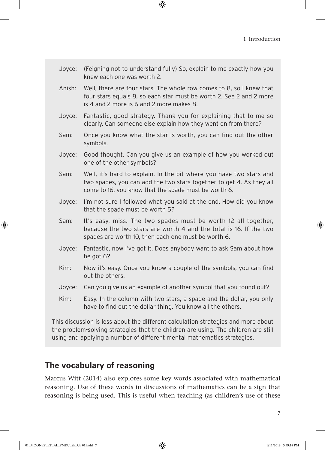Joyce: (Feigning not to understand fully) So, explain to me exactly how you knew each one was worth 2.

 $\bigcirc$ 

- Anish: Well, there are four stars. The whole row comes to 8, so I knew that four stars equals 8, so each star must be worth 2. See 2 and 2 more is 4 and 2 more is 6 and 2 more makes 8.
- Joyce: Fantastic, good strategy. Thank you for explaining that to me so clearly. Can someone else explain how they went on from there?
- Sam: Once you know what the star is worth, you can find out the other symbols.
- Joyce: Good thought. Can you give us an example of how you worked out one of the other symbols?
- Sam: Well, it's hard to explain. In the bit where you have two stars and two spades, you can add the two stars together to get 4. As they all come to 16, you know that the spade must be worth 6.
- Joyce: I'm not sure I followed what you said at the end. How did you know that the spade must be worth 5?
- Sam: It's easy, miss. The two spades must be worth 12 all together, because the two stars are worth 4 and the total is 16. If the two spades are worth 10, then each one must be worth 6.
- Joyce: Fantastic, now I've got it. Does anybody want to ask Sam about how he got 6?
- Kim: Now it's easy. Once you know a couple of the symbols, you can find out the others.
- Joyce: Can you give us an example of another symbol that you found out?
- Kim: Easy. In the column with two stars, a spade and the dollar, you only have to find out the dollar thing. You know all the others.

This discussion is less about the different calculation strategies and more about the problem-solving strategies that the children are using. The children are still using and applying a number of different mental mathematics strategies.

#### **The vocabulary of reasoning**

Marcus Witt (2014) also explores some key words associated with mathematical reasoning. Use of these words in discussions of mathematics can be a sign that reasoning is being used. This is useful when teaching (as children's use of these

⊕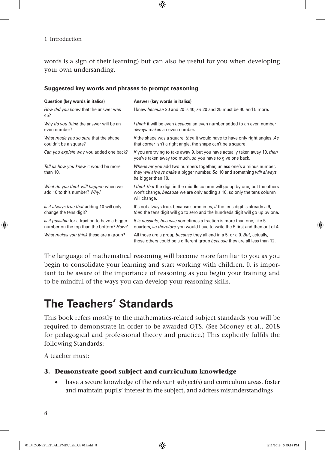words is a sign of their learning) but can also be useful for you when developing your own undersanding.

 $\bigcirc$ 

#### **Suggested key words and phrases to prompt reasoning**

| Question (key words in italics)                                                           | Answer (key words in italics)                                                                                                                                           |  |  |
|-------------------------------------------------------------------------------------------|-------------------------------------------------------------------------------------------------------------------------------------------------------------------------|--|--|
| How did you know that the answer was<br>45?                                               | I knew because 20 and 20 is 40, so 20 and 25 must be 40 and 5 more.                                                                                                     |  |  |
| Why do you think the answer will be an<br>even number?                                    | I think it will be even because an even number added to an even number<br>always makes an even number.                                                                  |  |  |
| What made you so sure that the shape<br>couldn't be a square?                             | If the shape was a square, then it would have to have only right angles. As<br>that corner isn't a right angle, the shape can't be a square.                            |  |  |
| Can you explain why you added one back?                                                   | If you are trying to take away 9, but you have actually taken away 10, then<br>you've taken away too much, so you have to give one back.                                |  |  |
| Tell us how you knew it would be more<br>than 10.                                         | Whenever you add two numbers together, unless one's a minus number,<br>they will always make a bigger number. So 10 and something will always<br>be bigger than 10.     |  |  |
| What do you think will happen when we<br>add 10 to this number? Why?                      | I think that the digit in the middle column will go up by one, but the others<br>won't change, because we are only adding a 10, so only the tens column<br>will change. |  |  |
| Is it always true that adding 10 will only<br>change the tens digit?                      | It's not always true, because sometimes, if the tens digit is already a 9,<br>then the tens digit will go to zero and the hundreds digit will go up by one.             |  |  |
| Is it possible for a fraction to have a bigger<br>number on the top than the bottom? How? | It is possible, because sometimes a fraction is more than one, like 5<br>quarters, so therefore you would have to write the 5 first and then out of 4.                  |  |  |
| What makes you think these are a group?                                                   | All those are a group <i>because</i> they all end in a 5, or a 0. But, actually,<br>those others could be a different group because they are all less than 12.          |  |  |

The language of mathematical reasoning will become more familiar to you as you begin to consolidate your learning and start working with children. It is important to be aware of the importance of reasoning as you begin your training and to be mindful of the ways you can develop your reasoning skills.

### **The Teachers' Standards**

This book refers mostly to the mathematics-related subject standards you will be required to demonstrate in order to be awarded QTS. (See Mooney et al., 2018 for pedagogical and professional theory and practice.) This explicitly fulfils the following Standards:

A teacher must:

#### **3. Demonstrate good subject and curriculum knowledge**

• have a secure knowledge of the relevant subject(s) and curriculum areas, foster and maintain pupils' interest in the subject, and address misunderstandings

⊕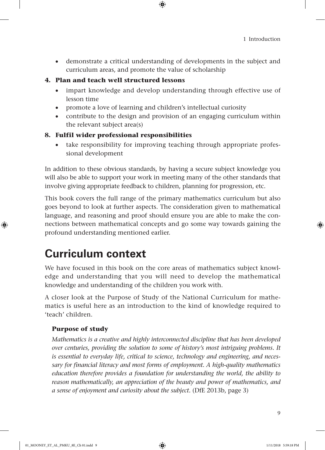• demonstrate a critical understanding of developments in the subject and curriculum areas, and promote the value of scholarship

 $\bigcirc$ 

#### **4. Plan and teach well structured lessons**

- impart knowledge and develop understanding through effective use of lesson time
- promote a love of learning and children's intellectual curiosity
- contribute to the design and provision of an engaging curriculum within the relevant subject area(s)

#### **8. Fulfil wider professional responsibilities**

take responsibility for improving teaching through appropriate professional development

In addition to these obvious standards, by having a secure subject knowledge you will also be able to support your work in meeting many of the other standards that involve giving appropriate feedback to children, planning for progression, etc.

This book covers the full range of the primary mathematics curriculum but also goes beyond to look at further aspects. The consideration given to mathematical language, and reasoning and proof should ensure you are able to make the connections between mathematical concepts and go some way towards gaining the profound understanding mentioned earlier.

## **Curriculum context**

We have focused in this book on the core areas of mathematics subject knowledge and understanding that you will need to develop the mathematical knowledge and understanding of the children you work with.

A closer look at the Purpose of Study of the National Curriculum for mathematics is useful here as an introduction to the kind of knowledge required to 'teach' children.

#### **Purpose of study**

⊕

*Mathematics is a creative and highly interconnected discipline that has been developed over centuries, providing the solution to some of history's most intriguing problems. It is essential to everyday life, critical to science, technology and engineering, and necessary for financial literacy and most forms of employment. A high-quality mathematics education therefore provides a foundation for understanding the world, the ability to reason mathematically, an appreciation of the beauty and power of mathematics, and a sense of enjoyment and curiosity about the subject.* (DfE 2013b, page 3)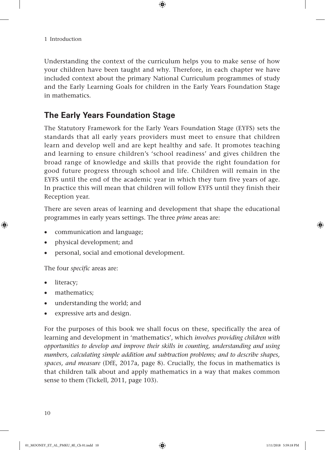Understanding the context of the curriculum helps you to make sense of how your children have been taught and why. Therefore, in each chapter we have included context about the primary National Curriculum programmes of study and the Early Learning Goals for children in the Early Years Foundation Stage in mathematics.

 $\bigoplus$ 

#### **The Early Years Foundation Stage**

The Statutory Framework for the Early Years Foundation Stage (EYFS) sets the standards that all early years providers must meet to ensure that children learn and develop well and are kept healthy and safe. It promotes teaching and learning to ensure children's 'school readiness' and gives children the broad range of knowledge and skills that provide the right foundation for good future progress through school and life. Children will remain in the EYFS until the end of the academic year in which they turn five years of age. In practice this will mean that children will follow EYFS until they finish their Reception year.

There are seven areas of learning and development that shape the educational programmes in early years settings. The three *prime* areas are:

- communication and language;
- physical development; and
- personal, social and emotional development.

The four *specific* areas are:

literacy;

⊕

- mathematics;
- understanding the world; and
- expressive arts and design.

For the purposes of this book we shall focus on these, specifically the area of learning and development in 'mathematics', which *involves providing children with opportunities to develop and improve their skills in counting, understanding and using numbers, calculating simple addition and subtraction problems; and to describe shapes, spaces, and measure* (DfE, 2017a, page 8). Crucially, the focus in mathematics is that children talk about and apply mathematics in a way that makes common sense to them (Tickell, 2011, page 103).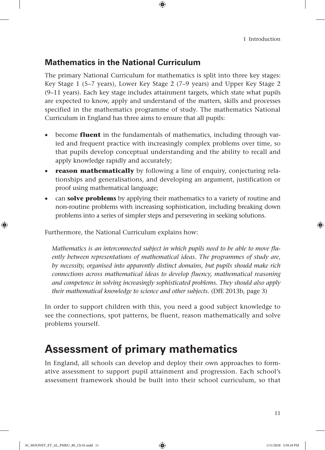#### **Mathematics in the National Curriculum**

The primary National Curriculum for mathematics is split into three key stages: Key Stage 1 (5–7 years), Lower Key Stage 2 (7–9 years) and Upper Key Stage 2 (9–11 years). Each key stage includes attainment targets, which state what pupils are expected to know, apply and understand of the matters, skills and processes specified in the mathematics programme of study. The mathematics National Curriculum in England has three aims to ensure that all pupils:

 $\bigcirc$ 

- become **fluent** in the fundamentals of mathematics, including through varied and frequent practice with increasingly complex problems over time, so that pupils develop conceptual understanding and the ability to recall and apply knowledge rapidly and accurately;
- **reason mathematically** by following a line of enquiry, conjecturing relationships and generalisations, and developing an argument, justification or proof using mathematical language;
- can **solve problems** by applying their mathematics to a variety of routine and non-routine problems with increasing sophistication, including breaking down problems into a series of simpler steps and persevering in seeking solutions.

Furthermore, the National Curriculum explains how:

*Mathematics is an interconnected subject in which pupils need to be able to move fluently between representations of mathematical ideas. The programmes of study are, by necessity, organised into apparently distinct domains, but pupils should make rich connections across mathematical ideas to develop fluency, mathematical reasoning and competence in solving increasingly sophisticated problems. They should also apply their mathematical knowledge to science and other subjects.* (DfE 2013b, page 3)

In order to support children with this, you need a good subject knowledge to see the connections, spot patterns, be fluent, reason mathematically and solve problems yourself.

### **Assessment of primary mathematics**

In England, all schools can develop and deploy their own approaches to formative assessment to support pupil attainment and progression. Each school's assessment framework should be built into their school curriculum, so that ⊕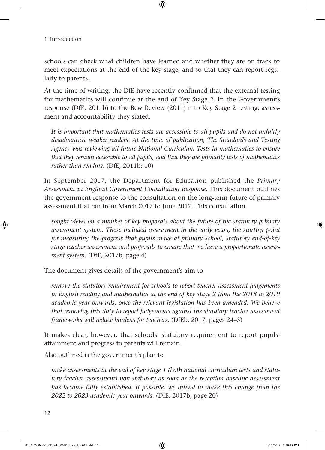schools can check what children have learned and whether they are on track to meet expectations at the end of the key stage, and so that they can report regularly to parents.

 $\bigcirc$ 

At the time of writing, the DfE have recently confirmed that the external testing for mathematics will continue at the end of Key Stage 2. In the Government's response (DfE, 2011b) to the Bew Review (2011) into Key Stage 2 testing, assessment and accountability they stated:

*It is important that mathematics tests are accessible to all pupils and do not unfairly disadvantage weaker readers. At the time of publication, The Standards and Testing Agency was reviewing all future National Curriculum Tests in mathematics to ensure that they remain accessible to all pupils, and that they are primarily tests of mathematics rather than reading.* (DfE, 2011b: 10)

In September 2017, the Department for Education published the *Primary Assessment in England Government Consultation Response*. This document outlines the government response to the consultation on the long-term future of primary assessment that ran from March 2017 to June 2017. This consultation

*sought views on a number of key proposals about the future of the statutory primary assessment system. These included assessment in the early years, the starting point for measuring the progress that pupils make at primary school, statutory end-of-key stage teacher assessment and proposals to ensure that we have a proportionate assessment system.* (DfE, 2017b, page 4)

The document gives details of the government's aim to

*remove the statutory requirement for schools to report teacher assessment judgements in English reading and mathematics at the end of key stage 2 from the 2018 to 2019 academic year onwards, once the relevant legislation has been amended. We believe that removing this duty to report judgements against the statutory teacher assessment frameworks will reduce burdens for teachers.* (DfEb, 2017, pages 24–5)

It makes clear, however, that schools' statutory requirement to report pupils' attainment and progress to parents will remain.

Also outlined is the government's plan to

*make assessments at the end of key stage 1 (both national curriculum tests and statutory teacher assessment) non-statutory as soon as the reception baseline assessment has become fully established. If possible, we intend to make this change from the 2022 to 2023 academic year onwards.* (DfE, 2017b, page 20)

12

⊕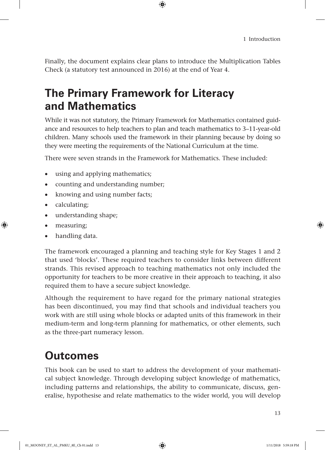Finally, the document explains clear plans to introduce the Multiplication Tables Check (a statutory test announced in 2016) at the end of Year 4.

 $\bigoplus$ 

# **The Primary Framework for Literacy and Mathematics**

While it was not statutory, the Primary Framework for Mathematics contained guidance and resources to help teachers to plan and teach mathematics to 3–11-year-old children. Many schools used the framework in their planning because by doing so they were meeting the requirements of the National Curriculum at the time.

There were seven strands in the Framework for Mathematics. These included:

- using and applying mathematics;
- counting and understanding number;
- knowing and using number facts;
- calculating;
- understanding shape;
- measuring;

⊕

handling data.

The framework encouraged a planning and teaching style for Key Stages 1 and 2 that used 'blocks'. These required teachers to consider links between different strands. This revised approach to teaching mathematics not only included the opportunity for teachers to be more creative in their approach to teaching, it also required them to have a secure subject knowledge.

Although the requirement to have regard for the primary national strategies has been discontinued, you may find that schools and individual teachers you work with are still using whole blocks or adapted units of this framework in their medium-term and long-term planning for mathematics, or other elements, such as the three-part numeracy lesson.

### **Outcomes**

This book can be used to start to address the development of your mathematical subject knowledge. Through developing subject knowledge of mathematics, including patterns and relationships, the ability to communicate, discuss, generalise, hypothesise and relate mathematics to the wider world, you will develop